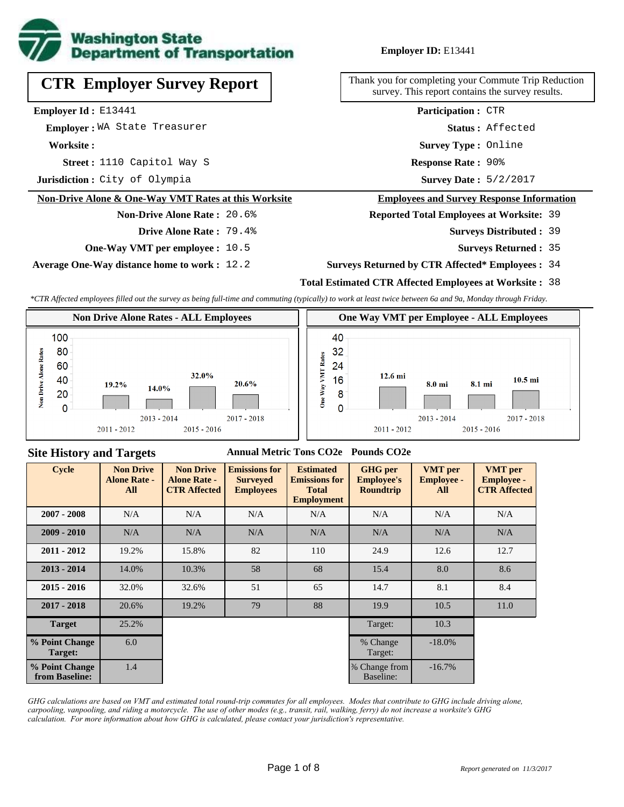

# **CTR Employer Survey Report**

**Employer Id :** E13441

 **Employer :** WA State Treasurer

**Worksite :**

**Street :** 1110 Capitol Way S **Response Rate :** 

**Jurisdiction :** City of Olympia

#### **Non-Drive Alone & One-Way VMT Rates at this Worksite**

# **Non-Drive Alone Rate :** 20.6% **Drive Alone Rate :** 79.4%

**One-Way VMT per employee :** 10.5

**Average One-Way distance home to work :** 12.2

#### **Employer ID:** E13441

Thank you for completing your Commute Trip Reduction survey. This report contains the survey results.

> **Survey Type :** Online **Status :** Affected **Participation :** CTR

Response Rate: 90%

Survey Date: 5/2/2017

#### **Employees and Survey Response Information**

**Reported Total Employees at Worksite:** 39

- 39 **Surveys Distributed :**
	- **Surveys Returned :** 35

#### **Surveys Returned by CTR Affected\* Employees :** 34

#### **Total Estimated CTR Affected Employees at Worksite :** 38

*\*CTR Affected employees filled out the survey as being full-time and commuting (typically) to work at least twice between 6a and 9a, Monday through Friday.*



## **Site History and Targets**

#### **Annual Metric Tons CO2e Pounds CO2e**

| <b>Cycle</b>                     | <b>Non Drive</b><br><b>Alone Rate -</b><br>All | <b>Non Drive</b><br><b>Alone Rate -</b><br><b>CTR Affected</b> | <b>Emissions for</b><br><b>Surveyed</b><br><b>Employees</b> | <b>Estimated</b><br><b>Emissions for</b><br><b>Total</b><br><b>Employment</b> | <b>GHG</b> per<br><b>Employee's</b><br><b>Roundtrip</b> | <b>VMT</b> per<br><b>Employee -</b><br>All | <b>VMT</b> per<br><b>Employee -</b><br><b>CTR Affected</b> |
|----------------------------------|------------------------------------------------|----------------------------------------------------------------|-------------------------------------------------------------|-------------------------------------------------------------------------------|---------------------------------------------------------|--------------------------------------------|------------------------------------------------------------|
| $2007 - 2008$                    | N/A                                            | N/A                                                            | N/A                                                         | N/A                                                                           | N/A                                                     | N/A                                        | N/A                                                        |
| $2009 - 2010$                    | N/A                                            | N/A                                                            | N/A                                                         | N/A                                                                           | N/A                                                     | N/A                                        | N/A                                                        |
| $2011 - 2012$                    | 19.2%                                          | 15.8%                                                          | 82                                                          | 110                                                                           | 24.9                                                    | 12.6                                       | 12.7                                                       |
| $2013 - 2014$                    | 14.0%                                          | 10.3%                                                          | 58                                                          | 68                                                                            | 15.4                                                    | 8.0                                        | 8.6                                                        |
| $2015 - 2016$                    | 32.0%                                          | 32.6%                                                          | 51                                                          | 65                                                                            | 14.7                                                    | 8.1                                        | 8.4                                                        |
| $2017 - 2018$                    | 20.6%                                          | 19.2%                                                          | 79                                                          | 88                                                                            | 19.9                                                    | 10.5                                       | 11.0                                                       |
| <b>Target</b>                    | 25.2%                                          |                                                                |                                                             |                                                                               | Target:                                                 | 10.3                                       |                                                            |
| % Point Change<br>Target:        | 6.0                                            |                                                                |                                                             |                                                                               | % Change<br>Target:                                     | $-18.0%$                                   |                                                            |
| % Point Change<br>from Baseline: | 1.4                                            |                                                                |                                                             |                                                                               | % Change from<br>Baseline:                              | $-16.7\%$                                  |                                                            |

*GHG calculations are based on VMT and estimated total round-trip commutes for all employees. Modes that contribute to GHG include driving alone, carpooling, vanpooling, and riding a motorcycle. The use of other modes (e.g., transit, rail, walking, ferry) do not increase a worksite's GHG calculation. For more information about how GHG is calculated, please contact your jurisdiction's representative.*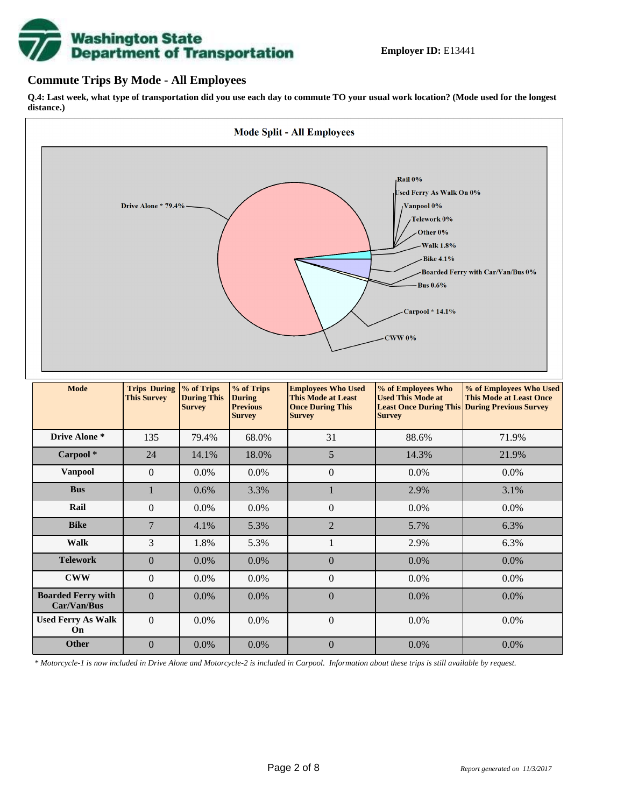# **Washington State<br>Department of Transportation**

# **Commute Trips By Mode - All Employees**

**Q.4: Last week, what type of transportation did you use each day to commute TO your usual work location? (Mode used for the longest distance.)**



| Drive Alone *                            | 135            | 79.4%   | 68.0%   | 31               | 88.6%   | 71.9%   |
|------------------------------------------|----------------|---------|---------|------------------|---------|---------|
| Carpool*                                 | 24             | 14.1%   | 18.0%   | 5                | 14.3%   | 21.9%   |
| <b>Vanpool</b>                           | $\Omega$       | 0.0%    | $0.0\%$ | $\boldsymbol{0}$ | 0.0%    | $0.0\%$ |
| <b>Bus</b>                               | 1              | 0.6%    | 3.3%    | п                | 2.9%    | 3.1%    |
| Rail                                     | $\Omega$       | 0.0%    | $0.0\%$ | $\boldsymbol{0}$ | $0.0\%$ | $0.0\%$ |
| <b>Bike</b>                              | $\overline{7}$ | 4.1%    | 5.3%    | $\overline{2}$   | 5.7%    | 6.3%    |
| <b>Walk</b>                              | 3              | 1.8%    | 5.3%    |                  | 2.9%    | 6.3%    |
| <b>Telework</b>                          | $\Omega$       | $0.0\%$ | $0.0\%$ | $\overline{0}$   | $0.0\%$ | $0.0\%$ |
| <b>CWW</b>                               | $\Omega$       | $0.0\%$ | $0.0\%$ | $\overline{0}$   | $0.0\%$ | $0.0\%$ |
| <b>Boarded Ferry with</b><br>Car/Van/Bus | $\Omega$       | $0.0\%$ | $0.0\%$ | $\mathbf{0}$     | $0.0\%$ | $0.0\%$ |
| <b>Used Ferry As Walk</b><br>On          | $\Omega$       | 0.0%    | 0.0%    | $\boldsymbol{0}$ | 0.0%    | 0.0%    |
| Other                                    | $\Omega$       | $0.0\%$ | $0.0\%$ | $\mathbf{0}$     | 0.0%    | $0.0\%$ |

*\* Motorcycle-1 is now included in Drive Alone and Motorcycle-2 is included in Carpool. Information about these trips is still available by request.*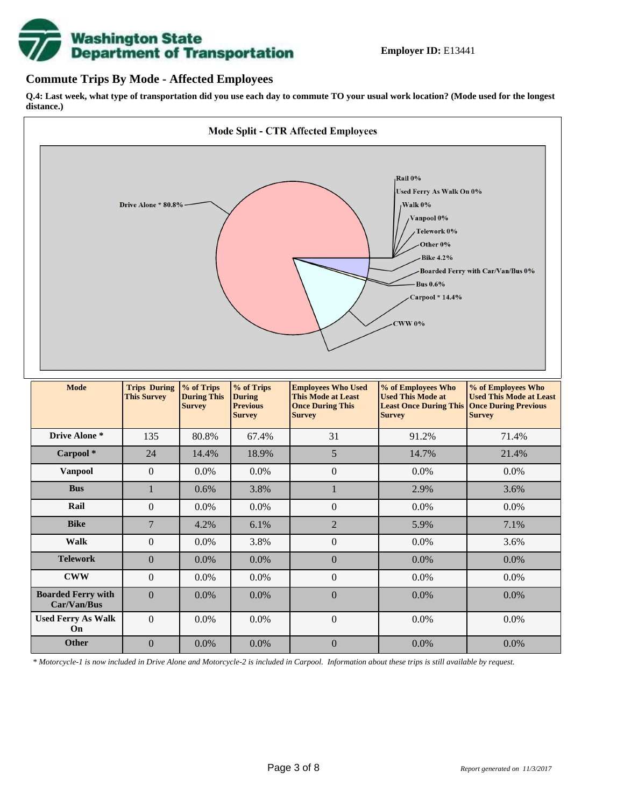

# **Commute Trips By Mode - Affected Employees**

**Q.4: Last week, what type of transportation did you use each day to commute TO your usual work location? (Mode used for the longest distance.)**



*\* Motorcycle-1 is now included in Drive Alone and Motorcycle-2 is included in Carpool. Information about these trips is still available by request.*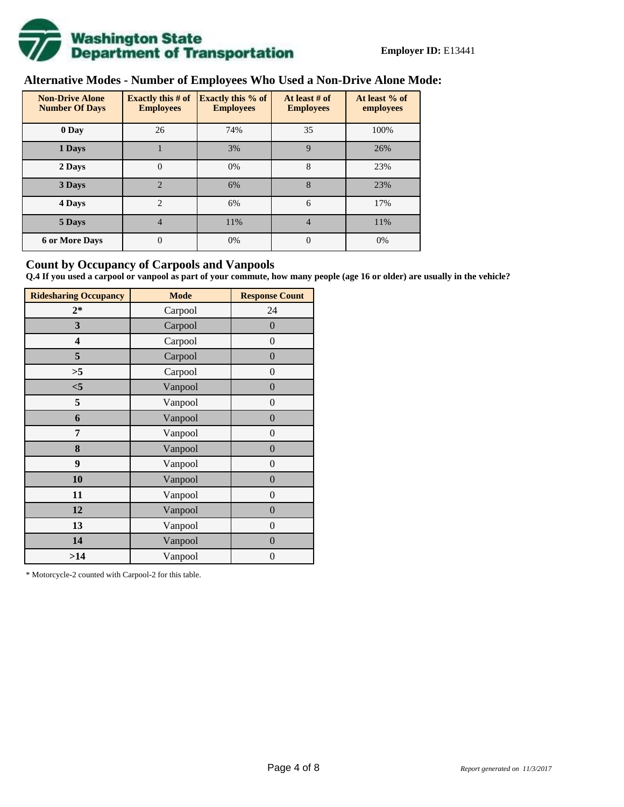

# **Alternative Modes - Number of Employees Who Used a Non-Drive Alone Mode:**

| <b>Non-Drive Alone</b><br><b>Number Of Days</b> | Exactly this $# of$<br><b>Employees</b> | <b>Exactly this % of</b><br><b>Employees</b> | At least # of<br><b>Employees</b> | At least % of<br>employees |  |
|-------------------------------------------------|-----------------------------------------|----------------------------------------------|-----------------------------------|----------------------------|--|
| 0 Day                                           | 26                                      | 74%                                          | 35                                | 100%                       |  |
| 1 Days                                          |                                         | 3%                                           | 9                                 | 26%                        |  |
| 2 Days                                          | $\overline{0}$                          | 0%                                           | 8                                 | 23%                        |  |
| 3 Days                                          | $\overline{2}$                          | 6%                                           | 8                                 | 23%                        |  |
| 4 Days                                          | $\overline{2}$                          | 6%                                           | 6                                 | 17%                        |  |
| 5 Days                                          | 4                                       | 11%                                          | $\overline{4}$                    | 11%                        |  |
| <b>6 or More Days</b>                           | 0                                       | 0%                                           | $\Omega$                          | 0%                         |  |

# **Count by Occupancy of Carpools and Vanpools**

**Q.4 If you used a carpool or vanpool as part of your commute, how many people (age 16 or older) are usually in the vehicle?**

| <b>Ridesharing Occupancy</b> | <b>Mode</b> | <b>Response Count</b> |
|------------------------------|-------------|-----------------------|
| $2*$                         | Carpool     | 24                    |
| 3                            | Carpool     | $\overline{0}$        |
| 4                            | Carpool     | $\boldsymbol{0}$      |
| 5                            | Carpool     | $\boldsymbol{0}$      |
| >5                           | Carpool     | $\overline{0}$        |
| $<$ 5                        | Vanpool     | $\overline{0}$        |
| 5                            | Vanpool     | $\overline{0}$        |
| 6                            | Vanpool     | $\boldsymbol{0}$      |
| 7                            | Vanpool     | $\overline{0}$        |
| 8                            | Vanpool     | $\boldsymbol{0}$      |
| 9                            | Vanpool     | $\overline{0}$        |
| 10                           | Vanpool     | $\overline{0}$        |
| 11                           | Vanpool     | $\boldsymbol{0}$      |
| 12                           | Vanpool     | $\boldsymbol{0}$      |
| 13                           | Vanpool     | $\boldsymbol{0}$      |
| 14                           | Vanpool     | $\overline{0}$        |
| >14                          | Vanpool     | $\boldsymbol{0}$      |

\* Motorcycle-2 counted with Carpool-2 for this table.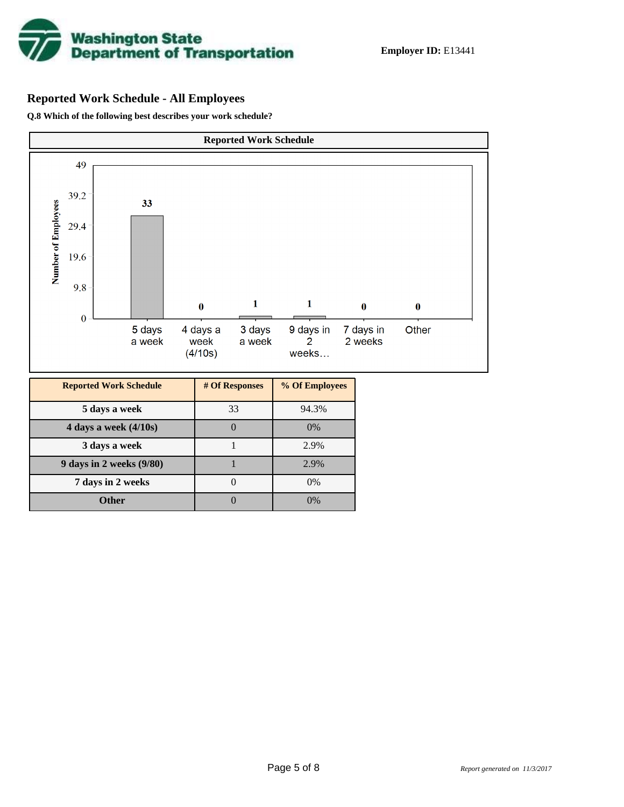

# **Reported Work Schedule - All Employees**

**Q.8 Which of the following best describes your work schedule?**

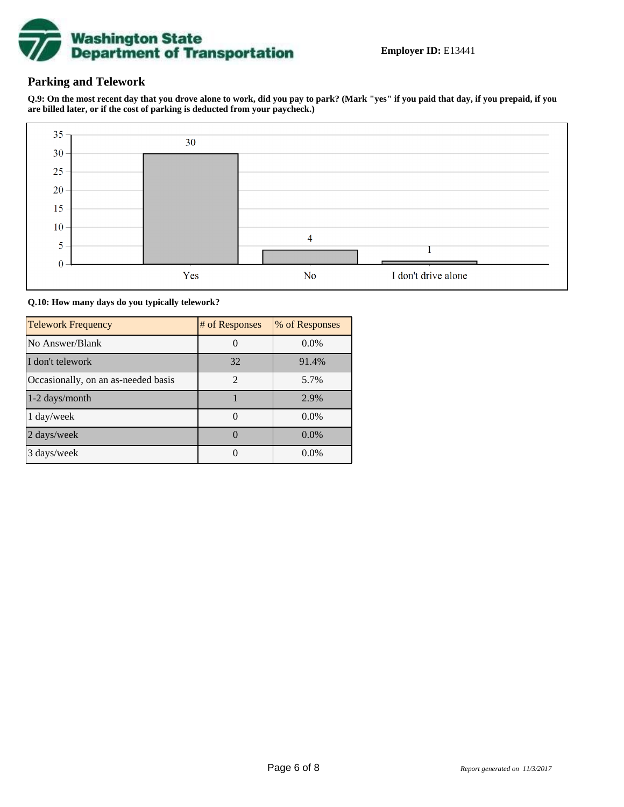

# **Parking and Telework**

**Q.9: On the most recent day that you drove alone to work, did you pay to park? (Mark "yes" if you paid that day, if you prepaid, if you are billed later, or if the cost of parking is deducted from your paycheck.)**



**Q.10: How many days do you typically telework?**

| <b>Telework Frequency</b>           | # of Responses | % of Responses |
|-------------------------------------|----------------|----------------|
| No Answer/Blank                     |                | $0.0\%$        |
| I don't telework                    | 32             | 91.4%          |
| Occasionally, on an as-needed basis | $\mathfrak{D}$ | 5.7%           |
| 1-2 days/month                      |                | 2.9%           |
| 1 day/week                          |                | $0.0\%$        |
| 2 days/week                         |                | $0.0\%$        |
| 3 days/week                         |                | 0.0%           |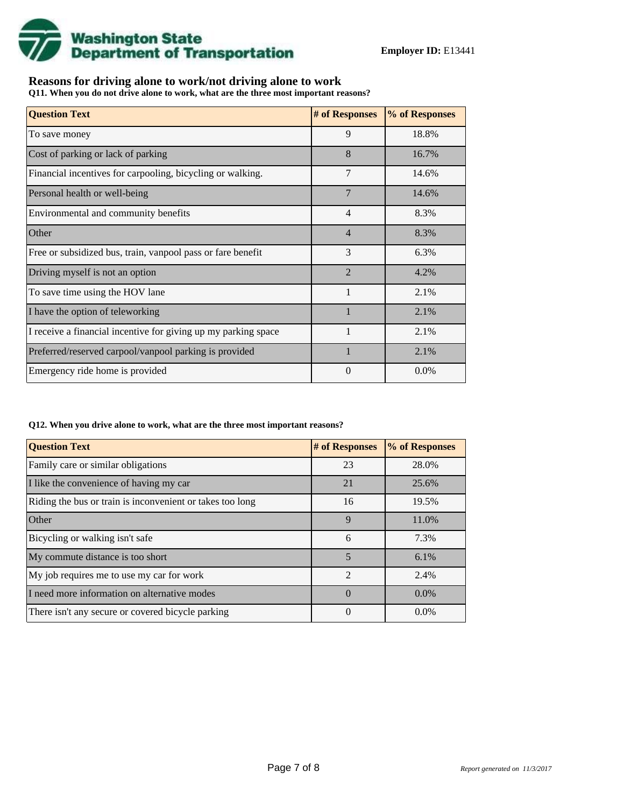

# **Reasons for driving alone to work/not driving alone to work**

**Q11. When you do not drive alone to work, what are the three most important reasons?**

| <b>Question Text</b>                                           | # of Responses | % of Responses |
|----------------------------------------------------------------|----------------|----------------|
| To save money                                                  | 9              | 18.8%          |
| Cost of parking or lack of parking                             | 8              | 16.7%          |
| Financial incentives for carpooling, bicycling or walking.     | 7              | 14.6%          |
| Personal health or well-being                                  | 7              | 14.6%          |
| Environmental and community benefits                           | $\overline{4}$ | 8.3%           |
| Other                                                          | $\overline{4}$ | 8.3%           |
| Free or subsidized bus, train, vanpool pass or fare benefit    | 3              | 6.3%           |
| Driving myself is not an option                                | $\mathfrak{D}$ | 4.2%           |
| To save time using the HOV lane                                | $\mathbf{1}$   | 2.1%           |
| I have the option of teleworking                               |                | 2.1%           |
| I receive a financial incentive for giving up my parking space |                | 2.1%           |
| Preferred/reserved carpool/vanpool parking is provided         | $\mathbf{1}$   | 2.1%           |
| Emergency ride home is provided                                | 0              | $0.0\%$        |

#### **Q12. When you drive alone to work, what are the three most important reasons?**

| <b>Question Text</b>                                      | # of Responses | % of Responses |
|-----------------------------------------------------------|----------------|----------------|
| Family care or similar obligations                        | 23             | 28.0%          |
| I like the convenience of having my car                   | 21             | 25.6%          |
| Riding the bus or train is inconvenient or takes too long | 16             | 19.5%          |
| Other                                                     | $\mathbf{Q}$   | 11.0%          |
| Bicycling or walking isn't safe                           | 6              | 7.3%           |
| My commute distance is too short                          | 5              | $6.1\%$        |
| My job requires me to use my car for work                 | $\mathfrak{D}$ | 2.4%           |
| I need more information on alternative modes              | $\Omega$       | $0.0\%$        |
| There isn't any secure or covered bicycle parking         | 0              | $0.0\%$        |